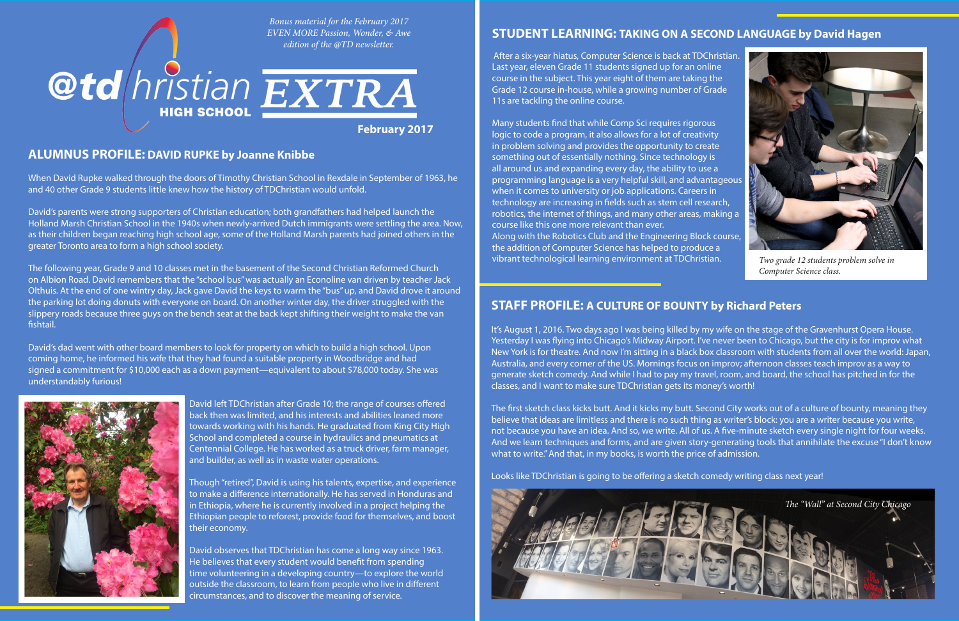#### **ALUMNUS PROFILE: DAVID RUPKE by Joanne Knibbe**

When David Rupke walked through the doors of Timothy Christian School in Rexdale in September of 1963, he and 40 other Grade 9 students little knew how the history of TDChristian would unfold.

David's parents were strong supporters of Christian education; both grandfathers had helped launch the Holland Marsh Christian School in the 1940s when newly-arrived Dutch immigrants were settling the area. Now, as their children began reaching high school age, some of the Holland Marsh parents had joined others in the greater Toronto area to form a high school society.

The following year, Grade 9 and 10 classes met in the basement of the Second Christian Reformed Church on Albion Road. David remembers that the "school bus" was actually an Econoline van driven by teacher Jack Olthuis. At the end of one wintry day, Jack gave David the keys to warm the "bus" up, and David drove it around the parking lot doing donuts with everyone on board. On another winter day, the driver struggled with the slippery roads because three guys on the bench seat at the back kept shifting their weight to make the van fishtail.

After a six-year hiatus, Computer Science is back at TDChristian. Last year, eleven Grade 11 students signed up for an online course in the subject. This year eight of them are taking the Grade 12 course in-house, while a growing number of Grade 11s are tackling the online course.

David's dad went with other board members to look for property on which to build a high school. Upon coming home, he informed his wife that they had found a suitable property in Woodbridge and had signed a commitment for \$10,000 each as a down payment—equivalent to about \$78,000 today. She was understandably furious!



David left TDChristian after Grade 10; the range of courses offered back then was limited, and his interests and abilities leaned more towards working with his hands. He graduated from King City High School and completed a course in hydraulics and pneumatics at Centennial College. He has worked as a truck driver, farm manager, and builder, as well as in waste water operations.

Though "retired", David is using his talents, expertise, and experience to make a difference internationally. He has served in Honduras and in Ethiopia, where he is currently involved in a project helping the Ethiopian people to reforest, provide food for themselves, and boost their economy.

David observes that TDChristian has come a long way since 1963. He believes that every student would benefit from spending time volunteering in a developing country—to explore the world outside the classroom, to learn from people who live in different circumstances, and to discover the meaning of service.

# **STUDENT LEARNING: TAKING ON A SECOND LANGUAGE by David Hagen**

Many students find that while Comp Sci requires rigorous logic to code a program, it also allows for a lot of creativity in problem solving and provides the opportunity to create something out of essentially nothing. Since technology is all around us and expanding every day, the ability to use a programming language is a very helpful skill, and advantageous when it comes to university or job applications. Careers in technology are increasing in fields such as stem cell research, robotics, the internet of things, and many other areas, making a course like this one more relevant than ever.

Along with the Robotics Club and the Engineering Block course, the addition of Computer Science has helped to produce a vibrant technological learning environment at TDChristian.





*Two grade 12 students problem solve in Computer Science class.*

#### **STAFF PROFILE: A CULTURE OF BOUNTY by Richard Peters**

It's August 1, 2016. Two days ago I was being killed by my wife on the stage of the Gravenhurst Opera House. Yesterday I was flying into Chicago's Midway Airport. I've never been to Chicago, but the city is for improv what New York is for theatre. And now I'm sitting in a black box classroom with students from all over the world: Japan, Australia, and every corner of the US. Mornings focus on improv; afternoon classes teach improv as a way to generate sketch comedy. And while I had to pay my travel, room, and board, the school has pitched in for the classes, and I want to make sure TDChristian gets its money's worth!

The first sketch class kicks butt. And it kicks my butt. Second City works out of a culture of bounty, meaning they believe that ideas are limitless and there is no such thing as writer's block: you are a writer because you write, not because you have an idea. And so, we write. All of us. A five-minute sketch every single night for four weeks. And we learn techniques and forms, and are given story-generating tools that annihilate the excuse "I don't know what to write." And that, in my books, is worth the price of admission.

Looks like TDChristian is going to be offering a sketch comedy writing class next year!